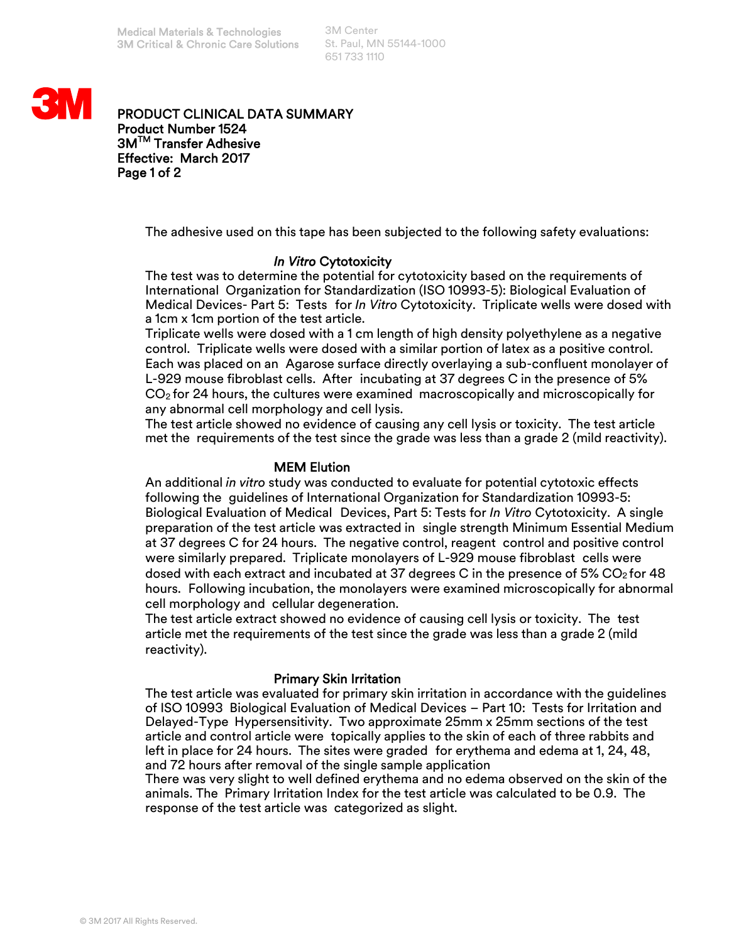3M Center St. Paul, MN 55144-1000 651 733 1110



PRODUCT CLINICAL DATA SUMMARY Product Number 1524 3MTM Transfer Adhesive Effective: March 2017 Page 1 of 2

The adhesive used on this tape has been subjected to the following safety evaluations:

# *In Vitro* Cytotoxicity

The test was to determine the potential for cytotoxicity based on the requirements of International Organization for Standardization (ISO 10993-5): Biological Evaluation of Medical Devices- Part 5: Tests for *In Vitro* Cytotoxicity. Triplicate wells were dosed with a 1cm x 1cm portion of the test article.

Triplicate wells were dosed with a 1 cm length of high density polyethylene as a negative control. Triplicate wells were dosed with a similar portion of latex as a positive control. Each was placed on an Agarose surface directly overlaying a sub-confluent monolayer of L-929 mouse fibroblast cells. After incubating at 37 degrees C in the presence of 5%  $CO<sub>2</sub>$  for 24 hours, the cultures were examined macroscopically and microscopically for any abnormal cell morphology and cell lysis.

The test article showed no evidence of causing any cell lysis or toxicity. The test article met the requirements of the test since the grade was less than a grade 2 (mild reactivity).

## MEM Elution

An additional *in vitro* study was conducted to evaluate for potential cytotoxic effects following the guidelines of International Organization for Standardization 10993-5: Biological Evaluation of Medical Devices, Part 5: Tests for *In Vitro* Cytotoxicity. A single preparation of the test article was extracted in single strength Minimum Essential Medium at 37 degrees C for 24 hours. The negative control, reagent control and positive control were similarly prepared. Triplicate monolayers of L-929 mouse fibroblast cells were dosed with each extract and incubated at 37 degrees C in the presence of 5% CO<sub>2</sub> for 48 hours. Following incubation, the monolayers were examined microscopically for abnormal cell morphology and cellular degeneration.

The test article extract showed no evidence of causing cell lysis or toxicity. The test article met the requirements of the test since the grade was less than a grade 2 (mild reactivity).

### Primary Skin Irritation

The test article was evaluated for primary skin irritation in accordance with the guidelines of ISO 10993 Biological Evaluation of Medical Devices – Part 10: Tests for Irritation and Delayed-Type Hypersensitivity. Two approximate 25mm x 25mm sections of the test article and control article were topically applies to the skin of each of three rabbits and left in place for 24 hours. The sites were graded for erythema and edema at 1, 24, 48, and 72 hours after removal of the single sample application

There was very slight to well defined erythema and no edema observed on the skin of the animals. The Primary Irritation Index for the test article was calculated to be 0.9. The response of the test article was categorized as slight.